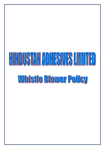# HINDISTAMADHSHIMITA) Whistle Blower Policy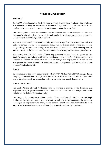# **WHISTLE BLOWER POLICY**

# **PREAMBLE**

Section 177 of the Companies Act, 2013 requires every listed company and such class or classes of companies, as may be prescribed to establish a vigil mechanism for the directors and employees to report genuine concerns in such manner as may be prescribed.

The Company has adopted a Code of Conduct for Directors and Senior Management Personnel ("the Code"), which lays down the principles and standards that should govern the actions of the Directors and Senior Management Personnel.

Any actual or potential violation of the Code, howsoever insignificant or perceived as such, is a matter of serious concern for the Company. Such a vigil mechanism shall provide for adequate safeguards against victimization of persons who use such mechanism and also make provision for direct access to the chairperson of the Audit Committee in appropriate or exceptional cases.

Effective October 1, 2014, Clause 49 of the Listing Agreement between listed companies and the Stock Exchanges, inter alia, provides for a mandatory requirement for all listed companies to establish a mechanism called "Whistle Blower Policy" for employees to report to the management instances of unethical behaviour, actual or suspected, fraud or violation of the company's code of conduct.

# **POLICY**

In compliance of the above requirements, HINDUSTAN ADHESIVES LIMITED, being a Listed Company has established a Vigil (Whistle Blower) Mechanism and formulated a Policy in order to provide a framework for responsible and secure whistle blowing/vigil mechanism.

# **POLICY OBJECTIVES**

The Vigil (Whistle Blower) Mechanism aims to provide a channel to the Directors and employees to report genuine concerns about unethical behaviour, actual or suspected fraud or violation of the Codes of Conduct or policy.

The Company is committed to adhere to the highest standards of ethical, moral and legal conduct of business operations and in order to maintain these standards, the Company encourages its employees who have genuine concerns about suspected misconduct to come forward and express these concerns without fear of punishment or unfair treatment.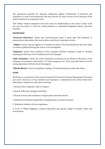The mechanism provides for adequate safeguards against victimization of Directors and employees to avail of the mechanism and also provide for direct access to the Chairman of the Audit Committee in exceptional cases.

This neither releases employees from their duty of confidentiality in the course of their work nor can it be used as a route for raising malicious or unfounded allegations about a personal situation.

### **DEFINITIONS**

**"Protected Disclosure"** means any communication made in good faith that discloses or demonstrates information that may evidence unethical or improper activity.

**"Subject"** means a person against or in relation to whom a Protected Disclosure has been made or evidence gathered during the course of an investigation.

**"Employee"** means every employee of the Company (whether working in India or abroad), including the Directors in the employment of the Company.

**Audit Committee"** means the Audit Committee constituted by the Board of Directors of the Company in accordance with Section 177 of the Companies Act, 2013 read with Clause 49 of the Listing Agreement with the Stock Exchange(s)

**"Whistle Blower"** means an Employee making a Protected Disclosure under this Policy.

# **SCOPE**

The Policy is an extension of the Code of Conduct for Directors & Senior Management Personnel and covers disclosure of any unethical and improper or malpractices and events which have taken place/ suspected to take place involving:

1. Breach of the Company's Code of Conduct.

2. Breach of Business Integrity and Ethics.

3. Breach of terms and conditions of employment and rules thereof.

4. Intentional Financial irregularities, including fraud, or suspected fraud.

5. Deliberate violation of laws/regulations.

6. Gross or Wilful Negligence causing substantial and specific danger to health, safety and environment.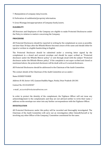7. Manipulation of company data/records.

8. Perforation of confidential/propriety information.

9. Gross Wastage/misappropriation of Company funds/assets.

# **ELIGIBILITY**

All Directors and Employees of the Company are eligible to make Protected Disclosures under the Policy in relation to matters concerning the Company.

# **PROCEDURE**

All Protected Disclosures should be reported in writing by the complainant as soon as possible, not later than 30 days after the Whistle Blower becomes aware of the same and should either be typed or written in a legible handwriting in English.

The Protected Disclosure should be submitted under a covering letter signed by the complainant in a closed and secured envelope and should be super scribed as "Protected disclosure under the Whistle Blower policy" or sent through email with the subject "Protected disclosure under the Whistle Blower policy". If the complaint is not super scribed and closed as mentioned above, the protected disclosure will be dealt with as if a normal disclosure.

All Protected Disclosures should be addressed to the Chairman of the Audit Committee.

The contact details of the Chairman of the Audit Committee are as under:-

Name SUDEEP PANDE

Address B-38, Sector-105, Gautam Buddha Nagar, Noida, Uttar Pradesh-201301

Contact No. 01141650347

e-mail \_accounts@hindustanadhesives.com

In order to protect the identity of the complainant, the Vigilance Officer will not issue any acknowledgement to the complainants and they are not advised neither to write their name / address on the envelope nor enter into any further correspondence with the Vigilance Officer.

### **INVESTIGATION**

All Protected Disclosures under this policy will be recorded and thoroughly investigated. The Chairman of the Audit Committee will carry out an investigation either himself/herself or by involving any other Officer of the Company/ Committee constituted for the same.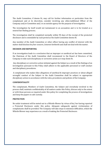The Audit Committee, if deems fit, may call for further information or particulars from the complainant and at its discretion, consider involving any other/additional Officer of the Company and/or Committee and/ or an outside agency for the purpose of investigation.

The investigation by itself would not tantamount to an accusation and is to be treated as a neutral fact finding process.

The investigation shall be completed normally within 90 days of the receipt of the protected disclosure and is extendable by such period as the Audit Committee deems fit.

Any member of the Audit Committee or other officer having any conflict of interest with the matter shall disclose his/her concern /interest forthwith and shall not deal with the matter.

### **DECISION AND REPORTING**

If an investigation leads to a conclusion that an improper or unethical act has been committed, the Chairman of the Audit Committee shall recommend to the Board of Directors of the Company to take such disciplinary or corrective action as it may deem fit.

Any disciplinary or corrective action initiated against the Subject as a result of the findings of an investigation pursuant to this Policy shall adhere to the applicable personnel or staff conduct and disciplinary procedures.

A complainant who makes false allegations of unethical & improper practices or about alleged wrongful conduct of the Subject to the Audit Committee shall be subject to appropriate disciplinary action in accordance with the rules, procedures and policies of the Company.

### **CONFIDENTIALITY**

The complainant, Members of Audit Committee, the Subject and everybody involved in the process shall, maintain confidentiality of all matters under this Policy, discuss only to the extent or with those persons as required under this policy for completing the process of investigations and keep the papers in safe custody.

### **PROTECTION**

No unfair treatment will be meted out to a Whistle Blower by virtue of his/ her having reported a Protected Disclosure under this policy. Adequate safeguards against victimization of complainants shall be provided. The Company will take steps to minimize difficulties, which the Whistle Blower may experience as a result of making the Protected Disclosure.